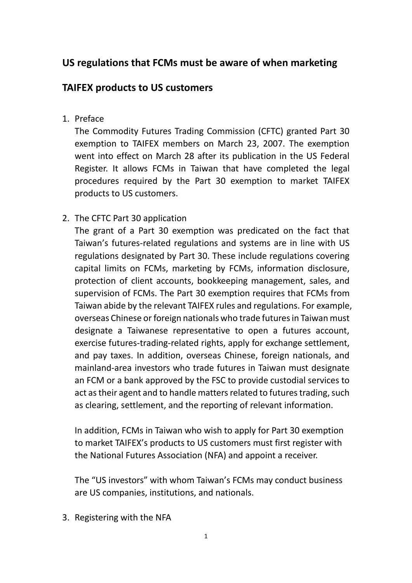## **US regulations that FCMs must be aware of when marketing**

## **TAIFEX products to US customers**

1. Preface

The Commodity Futures Trading Commission (CFTC) granted Part 30 exemption to TAIFEX members on March 23, 2007. The exemption went into effect on March 28 after its publication in the US Federal Register. It allows FCMs in Taiwan that have completed the legal procedures required by the Part 30 exemption to market TAIFEX products to US customers.

2. The CFTC Part 30 application

The grant of a Part 30 exemption was predicated on the fact that Taiwan's futures-related regulations and systems are in line with US regulations designated by Part 30. These include regulations covering capital limits on FCMs, marketing by FCMs, information disclosure, protection of client accounts, bookkeeping management, sales, and supervision of FCMs. The Part 30 exemption requires that FCMs from Taiwan abide by the relevant TAIFEX rules and regulations. For example, overseas Chinese or foreign nationals who trade futures in Taiwan must designate a Taiwanese representative to open a futures account, exercise futures-trading-related rights, apply for exchange settlement, and pay taxes. In addition, overseas Chinese, foreign nationals, and mainland-area investors who trade futures in Taiwan must designate an FCM or a bank approved by the FSC to provide custodial services to act as their agent and to handle matters related to futures trading, such as clearing, settlement, and the reporting of relevant information.

In addition, FCMs in Taiwan who wish to apply for Part 30 exemption to market TAIFEX's products to US customers must first register with the National Futures Association (NFA) and appoint a receiver.

The "US investors" with whom Taiwan's FCMs may conduct business are US companies, institutions, and nationals.

3. Registering with the NFA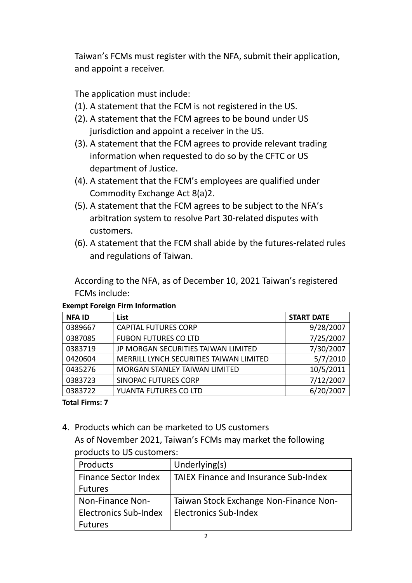Taiwan's FCMs must register with the NFA, submit their application, and appoint a receiver.

The application must include:

- (1). A statement that the FCM is not registered in the US.
- (2). A statement that the FCM agrees to be bound under US jurisdiction and appoint a receiver in the US.
- (3). A statement that the FCM agrees to provide relevant trading information when requested to do so by the CFTC or US department of Justice.
- (4). A statement that the FCM's employees are qualified under Commodity Exchange Act 8(a)2.
- (5). A statement that the FCM agrees to be subject to the NFA's arbitration system to resolve Part 30-related disputes with customers.
- (6). A statement that the FCM shall abide by the futures-related rules and regulations of Taiwan.

According to the NFA, as of December 10, 2021 Taiwan's registered FCMs include:

| <b>NFAID</b> | List                                    | <b>START DATE</b> |
|--------------|-----------------------------------------|-------------------|
| 0389667      | <b>CAPITAL FUTURES CORP</b>             | 9/28/2007         |
| 0387085      | <b>FUBON FUTURES CO LTD</b>             | 7/25/2007         |
| 0383719      | JP MORGAN SECURITIES TAIWAN LIMITED     | 7/30/2007         |
| 0420604      | MERRILL LYNCH SECURITIES TAIWAN LIMITED | 5/7/2010          |
| 0435276      | MORGAN STANLEY TAIWAN LIMITED           | 10/5/2011         |
| 0383723      | <b>SINOPAC FUTURES CORP</b>             | 7/12/2007         |
| 0383722      | YUANTA FUTURES CO LTD                   | 6/20/2007         |

## **Exempt Foreign Firm Information**

**Total Firms: 7**

4. Products which can be marketed to US customers As of November 2021, Taiwan's FCMs may market the following

## products to US customers:

| Products                     | Underlying(s)                                |
|------------------------------|----------------------------------------------|
| <b>Finance Sector Index</b>  | <b>TAIEX Finance and Insurance Sub-Index</b> |
| <b>Futures</b>               |                                              |
| Non-Finance Non-             | Taiwan Stock Exchange Non-Finance Non-       |
| <b>Electronics Sub-Index</b> | <b>Electronics Sub-Index</b>                 |
| <b>Futures</b>               |                                              |